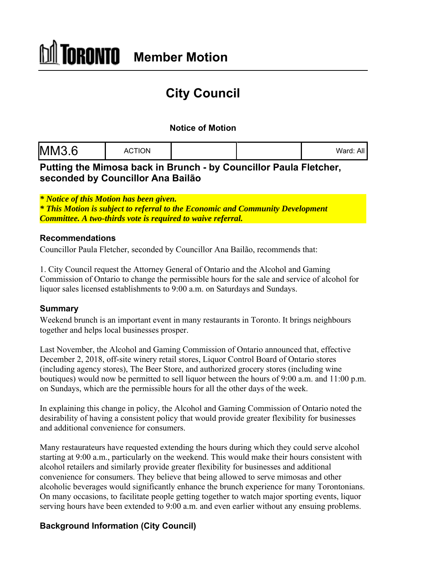# **City Council**

### **Notice of Motion**

| <b>MM3.6</b> | <b>ACTION</b> |  |  | All<br>Ward: |
|--------------|---------------|--|--|--------------|
|--------------|---------------|--|--|--------------|

# **Putting the Mimosa back in Brunch - by Councillor Paula Fletcher, seconded by Councillor Ana Bailão**

*\* Notice of this Motion has been given.*

*\* This Motion is subject to referral to the Economic and Community Development Committee. A two-thirds vote is required to waive referral.*

#### **Recommendations**

Councillor Paula Fletcher, seconded by Councillor Ana Bailão, recommends that:

1. City Council request the Attorney General of Ontario and the Alcohol and Gaming Commission of Ontario to change the permissible hours for the sale and service of alcohol for liquor sales licensed establishments to 9:00 a.m. on Saturdays and Sundays.

#### **Summary**

Weekend brunch is an important event in many restaurants in Toronto. It brings neighbours together and helps local businesses prosper.

Last November, the Alcohol and Gaming Commission of Ontario announced that, effective December 2, 2018, off-site winery retail stores, Liquor Control Board of Ontario stores (including agency stores), The Beer Store, and authorized grocery stores (including wine boutiques) would now be permitted to sell liquor between the hours of 9:00 a.m. and 11:00 p.m. on Sundays, which are the permissible hours for all the other days of the week.

In explaining this change in policy, the Alcohol and Gaming Commission of Ontario noted the desirability of having a consistent policy that would provide greater flexibility for businesses and additional convenience for consumers.

Many restaurateurs have requested extending the hours during which they could serve alcohol starting at 9:00 a.m., particularly on the weekend. This would make their hours consistent with alcohol retailers and similarly provide greater flexibility for businesses and additional convenience for consumers. They believe that being allowed to serve mimosas and other alcoholic beverages would significantly enhance the brunch experience for many Torontonians. On many occasions, to facilitate people getting together to watch major sporting events, liquor serving hours have been extended to 9:00 a.m. and even earlier without any ensuing problems.

## **Background Information (City Council)**